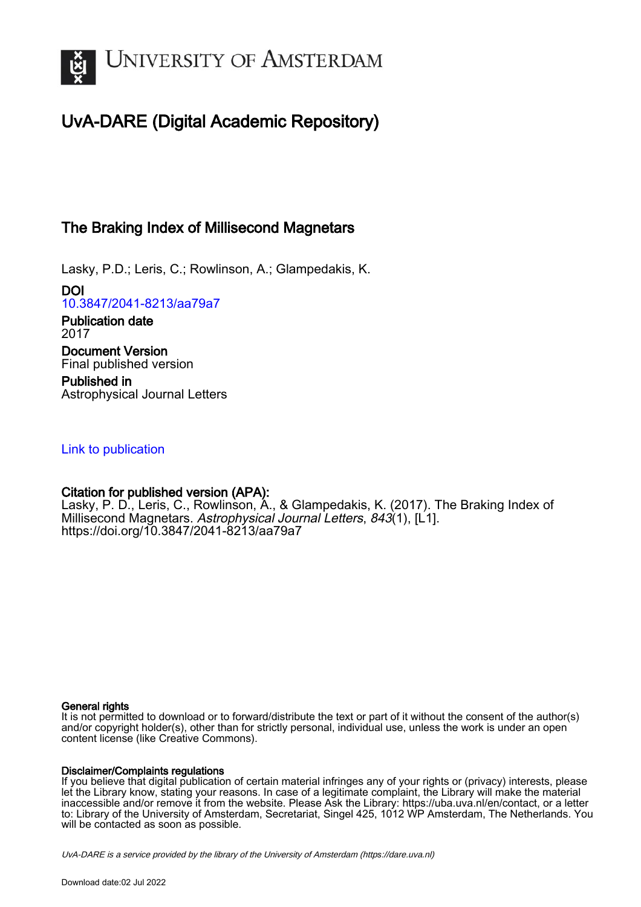

# UvA-DARE (Digital Academic Repository)

# The Braking Index of Millisecond Magnetars

Lasky, P.D.; Leris, C.; Rowlinson, A.; Glampedakis, K.

DOI [10.3847/2041-8213/aa79a7](https://doi.org/10.3847/2041-8213/aa79a7)

Publication date 2017 Document Version Final published version

Published in Astrophysical Journal Letters

# [Link to publication](https://dare.uva.nl/personal/pure/en/publications/the-braking-index-of-millisecond-magnetars(9ed2b4a2-3d69-4388-8454-838cc3f19ca2).html)

# Citation for published version (APA):

Lasky, P. D., Leris, C., Rowlinson, A., & Glampedakis, K. (2017). The Braking Index of Millisecond Magnetars. Astrophysical Journal Letters, 843(1), [L1]. <https://doi.org/10.3847/2041-8213/aa79a7>

# General rights

It is not permitted to download or to forward/distribute the text or part of it without the consent of the author(s) and/or copyright holder(s), other than for strictly personal, individual use, unless the work is under an open content license (like Creative Commons).

# Disclaimer/Complaints regulations

If you believe that digital publication of certain material infringes any of your rights or (privacy) interests, please let the Library know, stating your reasons. In case of a legitimate complaint, the Library will make the material inaccessible and/or remove it from the website. Please Ask the Library: https://uba.uva.nl/en/contact, or a letter to: Library of the University of Amsterdam, Secretariat, Singel 425, 1012 WP Amsterdam, The Netherlands. You will be contacted as soon as possible.

UvA-DARE is a service provided by the library of the University of Amsterdam (http*s*://dare.uva.nl)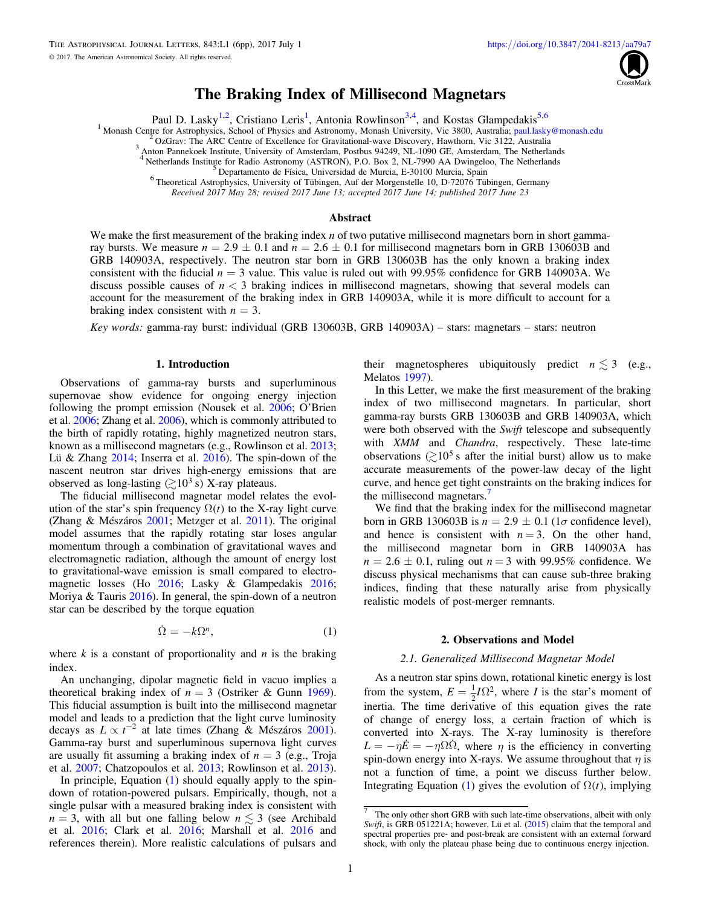

# The Braking Index of Millisecond Magnetars

Paul D. Lasky<sup>1,2</sup>, Cristiano Leris<sup>1</sup>, Antonia Rowlinson<sup>3,4</sup>, and Kostas Glampedakis<sup>5,6</sup>

<span id="page-1-0"></span><sup>1</sup> Monash Centre for Astrophysics, School of Physics and Astronomy, Monash University, Vic 3800, Australia; [paul.lasky@monash.edu](mailto:paul.lasky@monash.edu)<br><sup>2</sup> OzGrav: The ARC Centre of Excellence for Gravitational-wave Discovery, Hawthorn, Vic 31

<sup>5</sup> Departamento de Física, Universidad de Murcia, E-30100 Murcia, Spain<br><sup>6</sup> Theoretical Astrophysics, University of Tübingen, Auf der Morgenstelle 10, D-72076 Tübingen, Germany

Received 2017 May 28; revised 2017 June 13; accepted 2017 June 14; published 2017 June 23

#### Abstract

We make the first measurement of the braking index *n* of two putative millisecond magnetars born in short gammaray bursts. We measure  $n = 2.9 \pm 0.1$  and  $n = 2.6 \pm 0.1$  for millisecond magnetars born in GRB 130603B and GRB 140903A, respectively. The neutron star born in GRB 130603B has the only known a braking index consistent with the fiducial  $n = 3$  value. This value is ruled out with 99.95% confidence for GRB 140903A. We discuss possible causes of *n* < 3 braking indices in millisecond magnetars, showing that several models can account for the measurement of the braking index in GRB 140903A, while it is more difficult to account for a braking index consistent with  $n = 3$ .

Key words: gamma-ray burst: individual (GRB 130603B, GRB 140903A) – stars: magnetars – stars: neutron

## 1. Introduction

Observations of gamma-ray bursts and superluminous supernovae show evidence for ongoing energy injection following the prompt emission (Nousek et al. [2006](#page-5-0); O'Brien et al. [2006](#page-5-0); Zhang et al. [2006](#page-6-0)), which is commonly attributed to the birth of rapidly rotating, highly magnetized neutron stars, known as a millisecond magnetars (e.g., Rowlinson et al. [2013](#page-6-0); Lü & Zhang [2014](#page-5-0); Inserra et al. [2016](#page-5-0)). The spin-down of the nascent neutron star drives high-energy emissions that are observed as long-lasting  $(210^3 \text{ s})$  X-ray plateaus.

The fiducial millisecond magnetar model relates the evolution of the star's spin frequency  $\Omega(t)$  to the X-ray light curve (Zhang & Mészáros [2001](#page-6-0); Metzger et al. [2011](#page-5-0)). The original model assumes that the rapidly rotating star loses angular momentum through a combination of gravitational waves and electromagnetic radiation, although the amount of energy lost to gravitational-wave emission is small compared to electromagnetic losses (Ho [2016;](#page-5-0) Lasky & Glampedakis [2016](#page-5-0); Moriya & Tauris [2016](#page-5-0)). In general, the spin-down of a neutron star can be described by the torque equation

$$
\dot{\Omega} = -k\Omega^n,\tag{1}
$$

where  $k$  is a constant of proportionality and  $n$  is the braking index.

An unchanging, dipolar magnetic field in vacuo implies a theoretical braking index of  $n = 3$  (Ostriker & Gunn [1969](#page-5-0)). This fiducial assumption is built into the millisecond magnetar model and leads to a prediction that the light curve luminosity decays as  $L \propto t^{-2}$  at late times (Zhang & Mészáros [2001](#page-6-0)). Gamma-ray burst and superluminous supernova light curves are usually fit assuming a braking index of  $n = 3$  (e.g., Troja et al. [2007](#page-6-0); Chatzopoulos et al. [2013;](#page-5-0) Rowlinson et al. [2013](#page-6-0)).

In principle, Equation (1) should equally apply to the spindown of rotation-powered pulsars. Empirically, though, not a single pulsar with a measured braking index is consistent with  $n = 3$ , with all but one falling below  $n \leq 3$  (see Archibald et al. [2016](#page-5-0); Clark et al. [2016;](#page-5-0) Marshall et al. [2016](#page-5-0) and references therein). More realistic calculations of pulsars and their magnetospheres ubiquitously predict  $n \leq 3$  (e.g., Melatos [1997](#page-5-0)).

In this Letter, we make the first measurement of the braking index of two millisecond magnetars. In particular, short gamma-ray bursts GRB 130603B and GRB 140903A, which were both observed with the Swift telescope and subsequently with XMM and Chandra, respectively. These late-time observations ( $\geq 10^5$  s after the initial burst) allow us to make accurate measurements of the power-law decay of the light curve, and hence get tight constraints on the braking indices for the millisecond magnetars.

We find that the braking index for the millisecond magnetar born in GRB 130603B is  $n = 2.9 \pm 0.1$  (1 $\sigma$  confidence level), and hence is consistent with  $n = 3$ . On the other hand, the millisecond magnetar born in GRB 140903A has  $n = 2.6 \pm 0.1$ , ruling out  $n = 3$  with 99.95% confidence. We discuss physical mechanisms that can cause sub-three braking indices, finding that these naturally arise from physically realistic models of post-merger remnants.

#### 2. Observations and Model

#### 2.1. Generalized Millisecond Magnetar Model

As a neutron star spins down, rotational kinetic energy is lost from the system,  $E = \frac{1}{2}I\Omega$  $\frac{1}{2}I\Omega^2$ , where *I* is the star's moment of inertia. The time derivative of this equation gives the rate of change of energy loss, a certain fraction of which is converted into X-rays. The X-ray luminosity is therefore  $L = -\eta E = -\eta \Omega \Omega$ , where  $\eta$  is the efficiency in converting spin-down energy into X-rays. We assume throughout that  $\eta$  is not a function of time, a point we discuss further below. Integrating Equation (1) gives the evolution of  $\Omega(t)$ , implying

 $\overline{7}$  The only other short GRB with such late-time observations, albeit with only Swift, is GRB 051221A; however, Lü et al. ([2015](#page-5-0)) claim that the temporal and spectral properties pre- and post-break are consistent with an external forward shock, with only the plateau phase being due to continuous energy injection.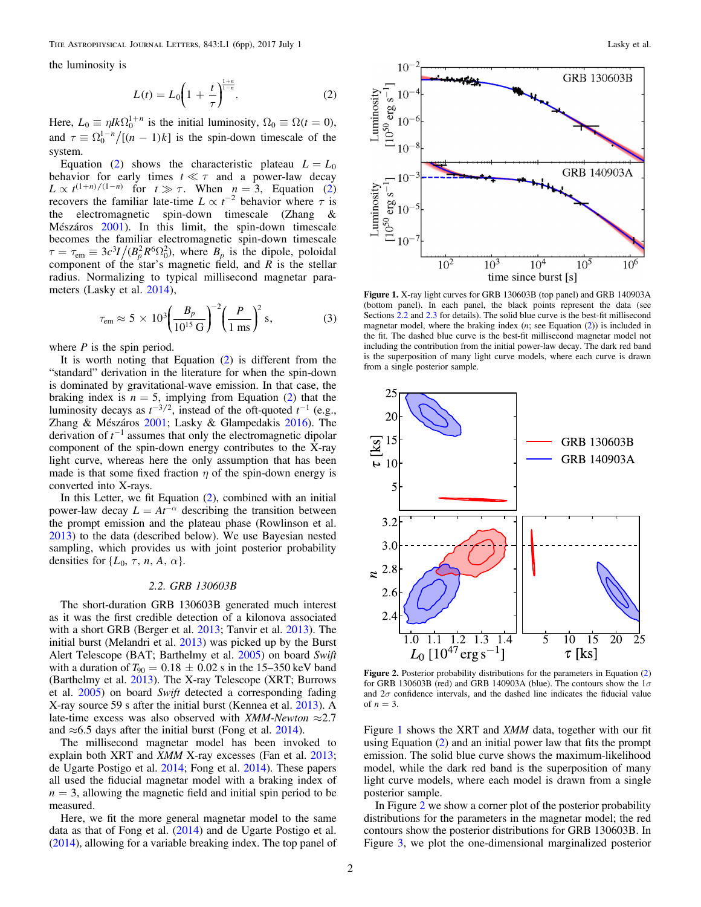<span id="page-2-0"></span>the luminosity is

$$
L(t) = L_0 \left( 1 + \frac{t}{\tau} \right)^{\frac{1+n}{1-n}}.
$$
 (2)

Here,  $L_0 \equiv \eta I k \Omega_0^{1+n}$  is the initial luminosity,  $\Omega_0 \equiv \Omega(t = 0)$ , and  $\tau \equiv \Omega_0^{1-n} / [(n-1)k]$  is the spin-down timescale of the system.

Equation (2) shows the characteristic plateau  $L = L_0$ behavior for early times  $t \ll \tau$  and a power-law decay  $L \propto t^{(1+n)/(1-n)}$  for  $t \gg \tau$ . When  $n = 3$ , Equation (2) recovers the familiar late-time  $L \propto t^{-2}$  behavior where  $\tau$  is the electromagnetic spin-down timescale (Zhang & Mészáros [2001](#page-6-0)). In this limit, the spin-down timescale becomes the familiar electromagnetic spin-down timescale  $\tau = \tau_{em} \equiv 3c^3 I/(B_p^2 R^6 \Omega_0^2)$ , where  $B_p$  is the dipole, poloidal component of the star's magnetic field, and  $\overline{R}$  is the stellar radius. Normalizing to typical millisecond magnetar parameters (Lasky et al. [2014](#page-5-0)),

$$
\tau_{\rm em} \approx 5 \times 10^3 \left( \frac{B_p}{10^{15} \,\rm G} \right)^{-2} \left( \frac{P}{1 \,\rm ms} \right)^2 \,\rm s,
$$
\n(3)

where  $P$  is the spin period.

It is worth noting that Equation  $(2)$  is different from the "standard" derivation in the literature for when the spin-down is dominated by gravitational-wave emission. In that case, the braking index is  $n = 5$ , implying from Equation (2) that the luminosity decays as  $t^{-3/2}$ , instead of the oft-quoted  $t^{-1}$  (e.g., Zhang & Mészáros [2001;](#page-6-0) Lasky & Glampedakis [2016](#page-5-0)). The derivation of  $t^{-1}$  assumes that only the electromagnetic dipolar component of the spin-down energy contributes to the X-ray light curve, whereas here the only assumption that has been made is that some fixed fraction  $\eta$  of the spin-down energy is converted into X-rays.

In this Letter, we fit Equation  $(2)$ , combined with an initial power-law decay  $L = At^{-\alpha}$  describing the transition between the prompt emission and the plateau phase (Rowlinson et al. [2013](#page-6-0)) to the data (described below). We use Bayesian nested sampling, which provides us with joint posterior probability densities for  $\{L_0, \tau, n, A, \alpha\}.$ 

### 2.2. GRB 130603B

The short-duration GRB 130603B generated much interest as it was the first credible detection of a kilonova associated with a short GRB (Berger et al. [2013](#page-5-0); Tanvir et al. [2013](#page-6-0)). The initial burst (Melandri et al. [2013](#page-5-0)) was picked up by the Burst Alert Telescope (BAT; Barthelmy et al. [2005](#page-5-0)) on board Swift with a duration of  $T_{90} = 0.18 \pm 0.02$  s in the 15–350 keV band (Barthelmy et al. [2013](#page-5-0)). The X-ray Telescope (XRT; Burrows et al. [2005](#page-5-0)) on board Swift detected a corresponding fading X-ray source 59 s after the initial burst (Kennea et al. [2013](#page-5-0)). A late-time excess was also observed with  $XMM-Newton \approx 2.7$ and  $\approx$  6.5 days after the initial burst (Fong et al. [2014](#page-5-0)).

The millisecond magnetar model has been invoked to explain both XRT and *XMM* X-ray excesses (Fan et al. [2013](#page-5-0); de Ugarte Postigo et al. [2014;](#page-5-0) Fong et al. [2014](#page-5-0)). These papers all used the fiducial magnetar model with a braking index of  $n = 3$ , allowing the magnetic field and initial spin period to be measured.

Here, we fit the more general magnetar model to the same data as that of Fong et al. ([2014](#page-5-0)) and de Ugarte Postigo et al. ([2014](#page-5-0)), allowing for a variable breaking index. The top panel of



Figure 1. X-ray light curves for GRB 130603B (top panel) and GRB 140903A (bottom panel). In each panel, the black points represent the data (see Sections 2.2 and [2.3](#page-3-0) for details). The solid blue curve is the best-fit millisecond magnetar model, where the braking index  $(n; \text{ see Equation (2)})$  is included in the fit. The dashed blue curve is the best-fit millisecond magnetar model not including the contribution from the initial power-law decay. The dark red band is the superposition of many light curve models, where each curve is drawn from a single posterior sample.



Figure 2. Posterior probability distributions for the parameters in Equation (2) for GRB 130603B (red) and GRB 140903A (blue). The contours show the  $1\sigma$ and  $2\sigma$  confidence intervals, and the dashed line indicates the fiducial value of  $n = 3$ .

Figure 1 shows the XRT and XMM data, together with our fit using Equation (2) and an initial power law that fits the prompt emission. The solid blue curve shows the maximum-likelihood model, while the dark red band is the superposition of many light curve models, where each model is drawn from a single posterior sample.

In Figure 2 we show a corner plot of the posterior probability distributions for the parameters in the magnetar model; the red contours show the posterior distributions for GRB 130603B. In Figure [3](#page-3-0), we plot the one-dimensional marginalized posterior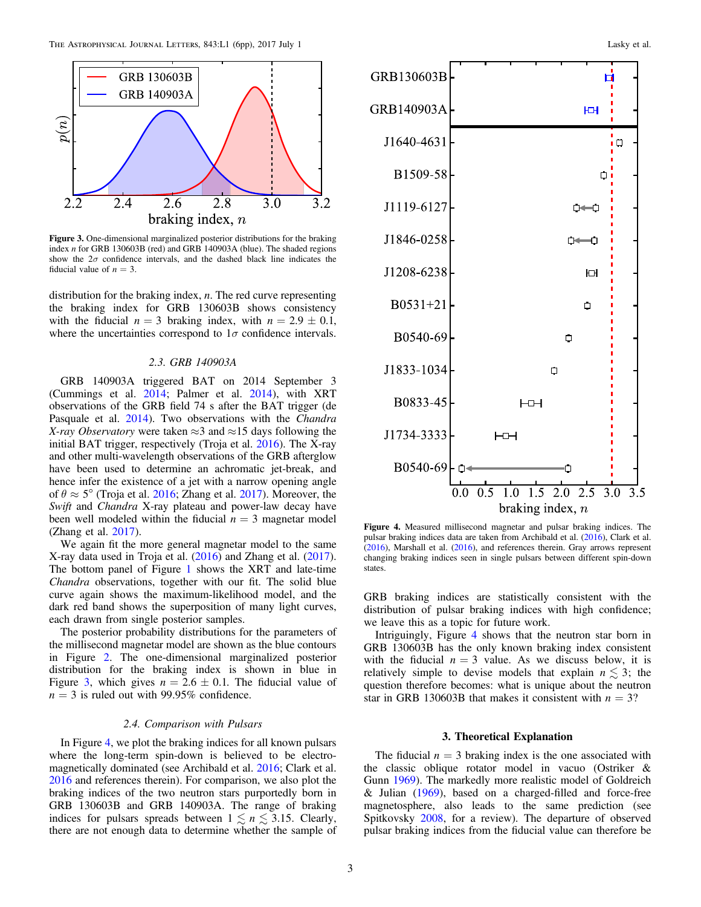<span id="page-3-0"></span>

Figure 3. One-dimensional marginalized posterior distributions for the braking index n for GRB 130603B (red) and GRB 140903A (blue). The shaded regions show the  $2\sigma$  confidence intervals, and the dashed black line indicates the fiducial value of  $n = 3$ .

distribution for the braking index,  $n$ . The red curve representing the braking index for GRB 130603B shows consistency with the fiducial  $n = 3$  braking index, with  $n = 2.9 \pm 0.1$ , where the uncertainties correspond to  $1\sigma$  confidence intervals.

### 2.3. GRB 140903A

GRB 140903A triggered BAT on 2014 September 3 (Cummings et al. [2014](#page-5-0); Palmer et al. [2014](#page-5-0)), with XRT observations of the GRB field 74 s after the BAT trigger (de Pasquale et al. [2014](#page-5-0)). Two observations with the *Chandra* X-ray Observatory were taken  $\approx$ 3 and  $\approx$ 15 days following the initial BAT trigger, respectively (Troja et al. [2016](#page-6-0)). The X-ray and other multi-wavelength observations of the GRB afterglow have been used to determine an achromatic jet-break, and hence infer the existence of a jet with a narrow opening angle of  $\theta \approx 5^{\circ}$  (Troja et al. [2016;](#page-6-0) Zhang et al. [2017](#page-6-0)). Moreover, the Swift and *Chandra* X-ray plateau and power-law decay have been well modeled within the fiducial  $n = 3$  magnetar model (Zhang et al. [2017](#page-6-0)).

We again fit the more general magnetar model to the same X-ray data used in Troja et al. ([2016](#page-6-0)) and Zhang et al. ([2017](#page-6-0)). The bottom panel of Figure [1](#page-2-0) shows the XRT and late-time Chandra observations, together with our fit. The solid blue curve again shows the maximum-likelihood model, and the dark red band shows the superposition of many light curves, each drawn from single posterior samples.

The posterior probability distributions for the parameters of the millisecond magnetar model are shown as the blue contours in Figure [2.](#page-2-0) The one-dimensional marginalized posterior distribution for the braking index is shown in blue in Figure 3, which gives  $n = 2.6 \pm 0.1$ . The fiducial value of  $n = 3$  is ruled out with 99.95% confidence.

## 2.4. Comparison with Pulsars

In Figure 4, we plot the braking indices for all known pulsars where the long-term spin-down is believed to be electromagnetically dominated (see Archibald et al. [2016](#page-5-0); Clark et al. [2016](#page-5-0) and references therein). For comparison, we also plot the braking indices of the two neutron stars purportedly born in GRB 130603B and GRB 140903A. The range of braking indices for pulsars spreads between  $1 \leq n \leq 3.15$ . Clearly, there are not enough data to determine whether the sample of



Figure 4. Measured millisecond magnetar and pulsar braking indices. The pulsar braking indices data are taken from Archibald et al. ([2016](#page-5-0)), Clark et al. ([2016](#page-5-0)), Marshall et al. ([2016](#page-5-0)), and references therein. Gray arrows represent changing braking indices seen in single pulsars between different spin-down states.

GRB braking indices are statistically consistent with the distribution of pulsar braking indices with high confidence; we leave this as a topic for future work.

Intriguingly, Figure 4 shows that the neutron star born in GRB 130603B has the only known braking index consistent with the fiducial  $n = 3$  value. As we discuss below, it is relatively simple to devise models that explain  $n \leq 3$ ; the question therefore becomes: what is unique about the neutron star in GRB 130603B that makes it consistent with  $n = 3$ ?

## 3. Theoretical Explanation

The fiducial  $n = 3$  braking index is the one associated with the classic oblique rotator model in vacuo (Ostriker & Gunn [1969](#page-5-0)). The markedly more realistic model of Goldreich & Julian ([1969](#page-5-0)), based on a charged-filled and force-free magnetosphere, also leads to the same prediction (see Spitkovsky [2008](#page-6-0), for a review). The departure of observed pulsar braking indices from the fiducial value can therefore be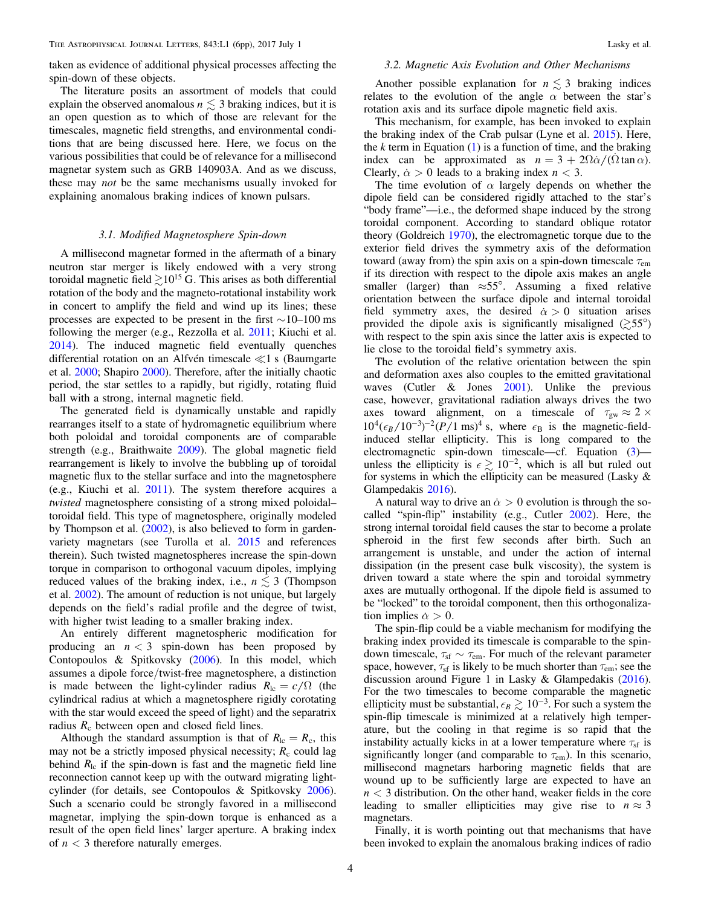<span id="page-4-0"></span>taken as evidence of additional physical processes affecting the spin-down of these objects.

The literature posits an assortment of models that could explain the observed anomalous  $n \leq 3$  braking indices, but it is an open question as to which of those are relevant for the timescales, magnetic field strengths, and environmental conditions that are being discussed here. Here, we focus on the various possibilities that could be of relevance for a millisecond magnetar system such as GRB 140903A. And as we discuss, these may *not* be the same mechanisms usually invoked for explaining anomalous braking indices of known pulsars.

#### 3.1. Modified Magnetosphere Spin-down

A millisecond magnetar formed in the aftermath of a binary neutron star merger is likely endowed with a very strong toroidal magnetic field  $\gtrsim 10^{15}$  G. This arises as both differential rotation of the body and the magneto-rotational instability work in concert to amplify the field and wind up its lines; these processes are expected to be present in the first  $\sim$ 10–100 ms following the merger (e.g., Rezzolla et al. [2011](#page-6-0); Kiuchi et al. [2014](#page-5-0)). The induced magnetic field eventually quenches differential rotation on an Alfvén timescale  $\ll 1$  s (Baumgarte et al. [2000](#page-5-0); Shapiro [2000](#page-6-0)). Therefore, after the initially chaotic period, the star settles to a rapidly, but rigidly, rotating fluid ball with a strong, internal magnetic field.

The generated field is dynamically unstable and rapidly rearranges itself to a state of hydromagnetic equilibrium where both poloidal and toroidal components are of comparable strength (e.g., Braithwaite [2009](#page-5-0)). The global magnetic field rearrangement is likely to involve the bubbling up of toroidal magnetic flux to the stellar surface and into the magnetosphere (e.g., Kiuchi et al. [2011](#page-5-0)). The system therefore acquires a twisted magnetosphere consisting of a strong mixed poloidal– toroidal field. This type of magnetosphere, originally modeled by Thompson et al. ([2002](#page-6-0)), is also believed to form in gardenvariety magnetars (see Turolla et al. [2015](#page-6-0) and references therein). Such twisted magnetospheres increase the spin-down torque in comparison to orthogonal vacuum dipoles, implying reduced values of the braking index, i.e.,  $n \leq 3$  (Thompson et al. [2002](#page-6-0)). The amount of reduction is not unique, but largely depends on the field's radial profile and the degree of twist, with higher twist leading to a smaller braking index.

An entirely different magnetospheric modification for producing an  $n < 3$  spin-down has been proposed by Contopoulos & Spitkovsky ([2006](#page-5-0)). In this model, which assumes a dipole force/twist-free magnetosphere, a distinction is made between the light-cylinder radius  $R_{\text{lc}} = c/\Omega$  (the cylindrical radius at which a magnetosphere rigidly corotating with the star would exceed the speed of light) and the separatrix radius  $R_c$  between open and closed field lines.

Although the standard assumption is that of  $R_{\text{lc}} = R_{\text{c}}$ , this may not be a strictly imposed physical necessity;  $R_c$  could lag behind  $R_{\rm lc}$  if the spin-down is fast and the magnetic field line reconnection cannot keep up with the outward migrating lightcylinder (for details, see Contopoulos & Spitkovsky [2006](#page-5-0)). Such a scenario could be strongly favored in a millisecond magnetar, implying the spin-down torque is enhanced as a result of the open field lines' larger aperture. A braking index of  $n < 3$  therefore naturally emerges.

# 3.2. Magnetic Axis Evolution and Other Mechanisms

Another possible explanation for  $n \lesssim 3$  braking indices relates to the evolution of the angle  $\alpha$  between the star's rotation axis and its surface dipole magnetic field axis.

This mechanism, for example, has been invoked to explain the braking index of the Crab pulsar (Lyne et al. [2015](#page-5-0)). Here, the k term in Equation  $(1)$  $(1)$  $(1)$  is a function of time, and the braking index can be approximated as  $n = 3 + 2\Omega \dot{\alpha}/(\Omega \tan \alpha)$ . Clearly,  $\dot{\alpha} > 0$  leads to a braking index  $n < 3$ .

The time evolution of  $\alpha$  largely depends on whether the dipole field can be considered rigidly attached to the star's "body frame"—i.e., the deformed shape induced by the strong toroidal component. According to standard oblique rotator theory (Goldreich [1970](#page-5-0)), the electromagnetic torque due to the exterior field drives the symmetry axis of the deformation toward (away from) the spin axis on a spin-down timescale  $\tau_{em}$ if its direction with respect to the dipole axis makes an angle smaller (larger) than  $\approx 55^{\circ}$ . Assuming a fixed relative orientation between the surface dipole and internal toroidal field symmetry axes, the desired  $\dot{\alpha} > 0$  situation arises provided the dipole axis is significantly misaligned  $(\gtrsim 55^{\circ})$ with respect to the spin axis since the latter axis is expected to lie close to the toroidal field's symmetry axis.

The evolution of the relative orientation between the spin and deformation axes also couples to the emitted gravitational waves (Cutler  $\&$  Jones [2001](#page-5-0)). Unlike the previous case, however, gravitational radiation always drives the two axes toward alignment, on a timescale of  $\tau_{gw} \approx 2 \times$  $10^4 (\epsilon_B/10^{-3})^{-2} (P/1 \text{ ms})^4$  s, where  $\epsilon_B$  is the magnetic-fieldinduced stellar ellipticity. This is long compared to the electromagnetic spin-down timescale—cf. Equation ([3](#page-2-0)) unless the ellipticity is  $\epsilon \gtrsim 10^{-2}$ , which is all but ruled out for systems in which the ellipticity can be measured (Lasky & Glampedakis [2016](#page-5-0)).

A natural way to drive an  $\dot{\alpha} > 0$  evolution is through the socalled "spin-flip" instability (e.g., Cutler [2002](#page-5-0)). Here, the strong internal toroidal field causes the star to become a prolate spheroid in the first few seconds after birth. Such an arrangement is unstable, and under the action of internal dissipation (in the present case bulk viscosity), the system is driven toward a state where the spin and toroidal symmetry axes are mutually orthogonal. If the dipole field is assumed to be "locked" to the toroidal component, then this orthogonalization implies  $\dot{\alpha} > 0$ .

The spin-flip could be a viable mechanism for modifying the braking index provided its timescale is comparable to the spindown timescale,  $\tau_{\rm sf} \sim \tau_{\rm em}$ . For much of the relevant parameter space, however,  $\tau_{sf}$  is likely to be much shorter than  $\tau_{em}$ ; see the discussion around Figure 1 in Lasky & Glampedakis ([2016](#page-5-0)). For the two timescales to become comparable the magnetic ellipticity must be substantial,  $\epsilon_B \gtrsim 10^{-3}$ . For such a system the spin-flip timescale is minimized at a relatively high temperature, but the cooling in that regime is so rapid that the instability actually kicks in at a lower temperature where  $\tau_{sf}$  is significantly longer (and comparable to  $\tau_{em}$ ). In this scenario, millisecond magnetars harboring magnetic fields that are wound up to be sufficiently large are expected to have an *n* < 3 distribution. On the other hand, weaker fields in the core leading to smaller ellipticities may give rise to  $n \approx 3$ magnetars.

Finally, it is worth pointing out that mechanisms that have been invoked to explain the anomalous braking indices of radio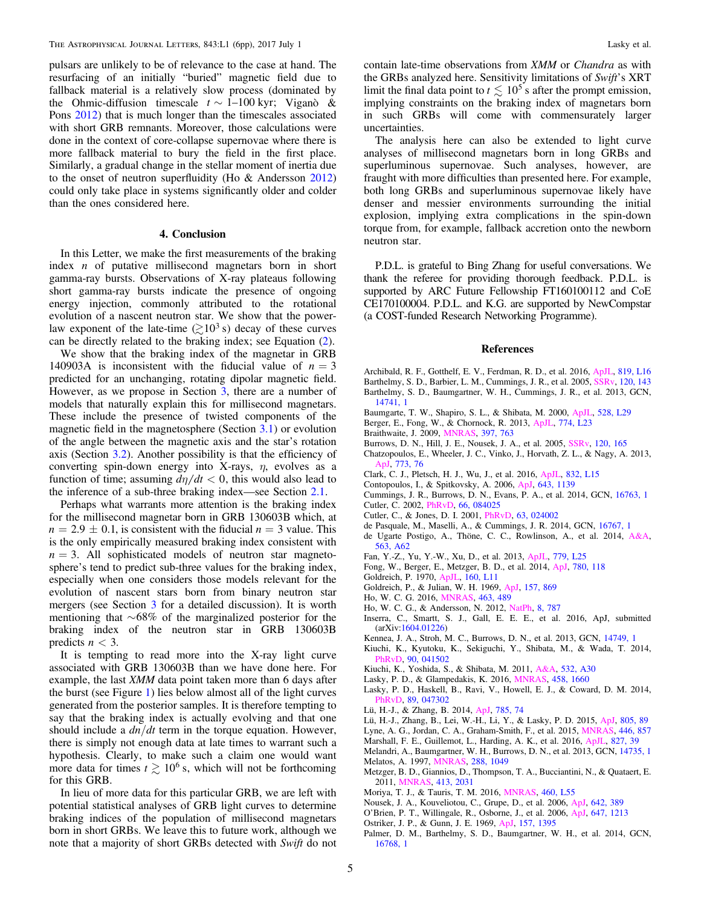<span id="page-5-0"></span>pulsars are unlikely to be of relevance to the case at hand. The resurfacing of an initially "buried" magnetic field due to fallback material is a relatively slow process (dominated by the Ohmic-diffusion timescale  $t \sim 1-100$  kyr; Viganò & Pons [2012](#page-6-0)) that is much longer than the timescales associated with short GRB remnants. Moreover, those calculations were done in the context of core-collapse supernovae where there is more fallback material to bury the field in the first place. Similarly, a gradual change in the stellar moment of inertia due to the onset of neutron superfluidity (Ho & Andersson 2012) could only take place in systems significantly older and colder than the ones considered here.

# 4. Conclusion

In this Letter, we make the first measurements of the braking index  $n$  of putative millisecond magnetars born in short gamma-ray bursts. Observations of X-ray plateaus following short gamma-ray bursts indicate the presence of ongoing energy injection, commonly attributed to the rotational evolution of a nascent neutron star. We show that the powerlaw exponent of the late-time  $(2.10<sup>3</sup> \text{ s})$  decay of these curves can be directly related to the braking index; see Equation ([2](#page-2-0)).

We show that the braking index of the magnetar in GRB 140903A is inconsistent with the fiducial value of  $n = 3$ predicted for an unchanging, rotating dipolar magnetic field. However, as we propose in Section [3,](#page-3-0) there are a number of models that naturally explain this for millisecond magnetars. These include the presence of twisted components of the magnetic field in the magnetosphere (Section  $3.1$ ) or evolution of the angle between the magnetic axis and the star's rotation axis (Section [3.2](#page-4-0)). Another possibility is that the efficiency of converting spin-down energy into X-rays,  $\eta$ , evolves as a function of time; assuming  $d\eta/dt < 0$ , this would also lead to the inference of a sub-three braking index—see Section [2.1](#page-1-0).

Perhaps what warrants more attention is the braking index for the millisecond magnetar born in GRB 130603B which, at  $n = 2.9 \pm 0.1$ , is consistent with the fiducial  $n = 3$  value. This is the only empirically measured braking index consistent with  $n = 3$ . All sophisticated models of neutron star magnetosphere's tend to predict sub-three values for the braking index, especially when one considers those models relevant for the evolution of nascent stars born from binary neutron star mergers (see Section [3](#page-3-0) for a detailed discussion). It is worth mentioning that  $~68\%$  of the marginalized posterior for the braking index of the neutron star in GRB 130603B predicts  $n < 3$ .

It is tempting to read more into the X-ray light curve associated with GRB 130603B than we have done here. For example, the last XMM data point taken more than 6 days after the burst (see Figure [1](#page-2-0)) lies below almost all of the light curves generated from the posterior samples. It is therefore tempting to say that the braking index is actually evolving and that one should include a  $dn/dt$  term in the torque equation. However, there is simply not enough data at late times to warrant such a hypothesis. Clearly, to make such a claim one would want more data for times  $t \geq 10^6$  s, which will not be forthcoming for this GRB.

In lieu of more data for this particular GRB, we are left with potential statistical analyses of GRB light curves to determine braking indices of the population of millisecond magnetars born in short GRBs. We leave this to future work, although we note that a majority of short GRBs detected with Swift do not contain late-time observations from XMM or Chandra as with the GRBs analyzed here. Sensitivity limitations of Swift's XRT limit the final data point to  $t \lesssim 10^5$  s after the prompt emission, implying constraints on the braking index of magnetars born in such GRBs will come with commensurately larger uncertainties.

The analysis here can also be extended to light curve analyses of millisecond magnetars born in long GRBs and superluminous supernovae. Such analyses, however, are fraught with more difficulties than presented here. For example, both long GRBs and superluminous supernovae likely have denser and messier environments surrounding the initial explosion, implying extra complications in the spin-down torque from, for example, fallback accretion onto the newborn neutron star.

P.D.L. is grateful to Bing Zhang for useful conversations. We thank the referee for providing thorough feedback. P.D.L. is supported by ARC Future Fellowship FT160100112 and CoE CE170100004. P.D.L. and K.G. are supported by NewCompstar (a COST-funded Research Networking Programme).

#### References

- Archibald, R. F., Gotthelf, E. V., Ferdman, R. D., et al. 2016, [ApJL,](https://doi.org/10.3847/2041-8205/819/1/L16) [819, L16](http://adsabs.harvard.edu/abs/2016ApJ...819L..16A)
- Barthelmy, S. D., Barbier, L. M., Cummings, J. R., et al. 2005, [SSRv](https://doi.org/10.1007/s11214-005-5096-3), [120, 143](http://adsabs.harvard.edu/abs/2005SSRv..120..143B)
- Barthelmy, S. D., Baumgartner, W. H., Cummings, J. R., et al. 2013, GCN[,](http://adsabs.harvard.edu/abs/2013GCN..14741...1B) [14741, 1](http://adsabs.harvard.edu/abs/2013GCN..14741...1B)
- Baumgarte, T. W., Shapiro, S. L., & Shibata, M. 2000, [ApJL](https://doi.org/10.1086/312425), [528, L29](http://adsabs.harvard.edu/abs/2000ApJ...528L..29B)
- Berger, E., Fong, W., & Chornock, R. 2013, [ApJL](https://doi.org/10.1088/2041-8205/774/2/L23), [774, L23](http://adsabs.harvard.edu/abs/2013ApJ...774L..23B)
- Braithwaite, J. 2009, [MNRAS,](https://doi.org/10.1111/j.1365-2966.2008.14034.x) [397, 763](http://adsabs.harvard.edu/abs/2009MNRAS.397..763B)
- Burrows, D. N., Hill, J. E., Nousek, J. A., et al. 2005, [SSRv,](https://doi.org/10.1007/s11214-005-5097-2) [120, 165](http://adsabs.harvard.edu/abs/2005SSRv..120..165B)
- Chatzopoulos, E., Wheeler, J. C., Vinko, J., Horvath, Z. L., & Nagy, A. 2013, [ApJ,](https://doi.org/10.1088/0004-637X/773/1/76) [773, 76](http://adsabs.harvard.edu/abs/2013ApJ...773...76C)
- Clark, C. J., Pletsch, H. J., Wu, J., et al. 2016, [ApJL,](https://doi.org/10.3847/2041-8205/832/1/L15) [832, L15](http://adsabs.harvard.edu/abs/2016ApJ...832L..15C)
- Contopoulos, I., & Spitkovsky, A. 2006, [ApJ](https://doi.org/10.1086/501161), [643, 1139](http://adsabs.harvard.edu/abs/2006ApJ...643.1139C)
- Cummings, J. R., Burrows, D. N., Evans, P. A., et al. 2014, GCN, [16763, 1](http://adsabs.harvard.edu/abs/2014GCN..16763...1C) Cutler, C. 2002, [PhRvD](https://doi.org/10.1103/PhysRevD.66.084025), [66, 084025](http://adsabs.harvard.edu/abs/2002PhRvD..66h4025C)
- Cutler, C., & Jones, D. I. 2001, [PhRvD,](https://doi.org/10.1103/PhysRevD.63.024002) [63, 024002](http://adsabs.harvard.edu/abs/2001PhRvD..63b4002C)
- de Pasquale, M., Maselli, A., & Cummings, J. R. 2014, GCN, [16767, 1](http://adsabs.harvard.edu/abs/2014GCN..16767...1D)
- de Ugarte Postigo, A., Thöne, C. C., Rowlinson, A., et al. 2014, [A&A](https://doi.org/10.1051/0004-6361/201322985)[,](http://adsabs.harvard.edu/abs/2014A&A...563A..62D) [563, A62](http://adsabs.harvard.edu/abs/2014A&A...563A..62D)
- Fan, Y.-Z., Yu, Y.-W., Xu, D., et al. 2013, [ApJL](https://doi.org/10.1088/2041-8205/779/2/L25), [779, L25](http://adsabs.harvard.edu/abs/2013ApJ...779L..25F)
- Fong, W., Berger, E., Metzger, B. D., et al. 2014, [ApJ,](https://doi.org/10.1088/0004-637X/780/2/118) [780, 118](http://adsabs.harvard.edu/abs/2014ApJ...780..118F)
- Goldreich, P. 1970, [ApJL](https://doi.org/10.1086/180513), [160, L11](http://adsabs.harvard.edu/abs/1970ApJ...160L..11G)
- Goldreich, P., & Julian, W. H. 1969, [ApJ](https://doi.org/10.1086/150119), [157, 869](http://adsabs.harvard.edu/abs/1969ApJ...157..869G)
- Ho, W. C. G. 2016, [MNRAS,](https://doi.org/10.1093/mnras/stw2016) [463, 489](http://adsabs.harvard.edu/abs/2016MNRAS.463..489H)
- Ho, W. C. G., & Andersson, N. 2012, [NatPh,](https://doi.org/10.1038/nphys2424) [8, 787](http://adsabs.harvard.edu/abs/2012NatPh...8..787H)
- Inserra, C., Smartt, S. J., Gall, E. E. E., et al. 2016, ApJ, submitted (arXiv:[1604.01226](http://arxiv.org/abs/1604.01226))
- Kennea, J. A., Stroh, M. C., Burrows, D. N., et al. 2013, GCN, [14749, 1](http://adsabs.harvard.edu/abs/2013GCN..14749...1K)
- Kiuchi, K., Kyutoku, K., Sekiguchi, Y., Shibata, M., & Wada, T. 2014, [PhRvD](https://doi.org/10.1103/PhysRevD.90.041502), [90, 041502](http://adsabs.harvard.edu/abs/2014PhRvD..90d1502K)
- Kiuchi, K., Yoshida, S., & Shibata, M. 2011, [A&A,](https://doi.org/10.1051/0004-6361/201016242) [532, A30](http://adsabs.harvard.edu/abs/2011A&A...532A..30K)
- Lasky, P. D., & Glampedakis, K. 2016, [MNRAS,](https://doi.org/10.1093/mnras/stw435) [458, 1660](http://adsabs.harvard.edu/abs/2016MNRAS.458.1660L)
- Lasky, P. D., Haskell, B., Ravi, V., Howell, E. J., & Coward, D. M. 2014, [PhRvD](https://doi.org/10.1103/PhysRevD.89.047302), [89, 047302](http://adsabs.harvard.edu/abs/2014PhRvD..89d7302L)
- Lü, H.-J., & Zhang, B. 2014, [ApJ](https://doi.org/10.1088/0004-637X/785/1/74), [785, 74](http://adsabs.harvard.edu/abs/2014ApJ...785...74L)
- Lü, H.-J., Zhang, B., Lei, W.-H., Li, Y., & Lasky, P. D. 2015, [ApJ](https://doi.org/10.1088/0004-637X/805/2/89), [805, 89](http://adsabs.harvard.edu/abs/2015ApJ...805...89L)
- Lyne, A. G., Jordan, C. A., Graham-Smith, F., et al. 2015, [MNRAS](https://doi.org/10.1093/mnras/stu2118), [446, 857](http://adsabs.harvard.edu/abs/2015MNRAS.446..857L)
- Marshall, F. E., Guillemot, L., Harding, A. K., et al. 2016, [ApJL](https://doi.org/10.3847/2041-8205/827/2/L39), [827, 39](http://adsabs.harvard.edu/abs/2016ApJ...827L..39M)
- Melandri, A., Baumgartner, W. H., Burrows, D. N., et al. 2013, GCN, [14735, 1](http://adsabs.harvard.edu/abs/2013GCN..14735...1M)
- Melatos, A. 1997, [MNRAS](https://doi.org/10.1093/mnras/288.4.1049), [288, 1049](http://adsabs.harvard.edu/abs/1997MNRAS.288.1049M)
- Metzger, B. D., Giannios, D., Thompson, T. A., Bucciantini, N., & Quataert, E. 2011, [MNRAS,](https://doi.org/10.1111/j.1365-2966.2011.18280.x) [413, 2031](http://adsabs.harvard.edu/abs/2011MNRAS.413.2031M)
- Moriya, T. J., & Tauris, T. M. 2016, [MNRAS,](https://doi.org/10.1093/mnrasl/slw072) [460, L55](http://adsabs.harvard.edu/abs/2016MNRAS.460L..55M)
- Nousek, J. A., Kouveliotou, C., Grupe, D., et al. 2006, [ApJ,](https://doi.org/10.1086/500724) [642, 389](http://adsabs.harvard.edu/abs/2006ApJ...642..389N)
- O'Brien, P. T., Willingale, R., Osborne, J., et al. 2006, [ApJ,](https://doi.org/10.1086/505457) [647, 1213](http://adsabs.harvard.edu/abs/2006ApJ...647.1213O)
- Ostriker, J. P., & Gunn, J. E. 1969, [ApJ,](https://doi.org/10.1086/150160) [157, 1395](http://adsabs.harvard.edu/abs/1969ApJ...157.1395O)
- Palmer, D. M., Barthelmy, S. D., Baumgartner, W. H., et al. 2014, GCN[,](http://adsabs.harvard.edu/abs/2014GCN..16768...1P) [16768, 1](http://adsabs.harvard.edu/abs/2014GCN..16768...1P)